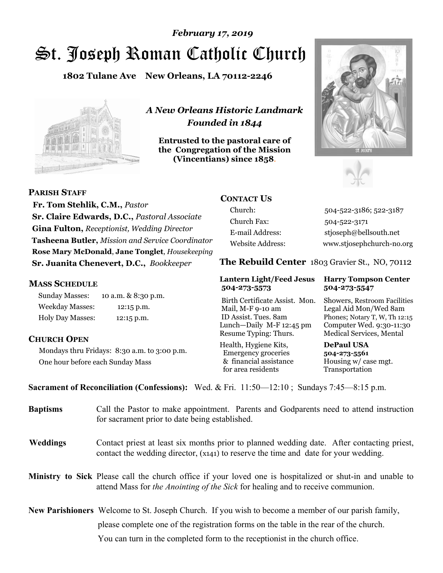# St. Joseph Roman Catholic Church *February 17, 2019*

**1802 Tulane Ave New Orleans, LA 70112-2246**



*A New Orleans Historic Landmark Founded in 1844* 

**Entrusted to the pastoral care of the Congregation of the Mission (Vincentians) since 1858**.





**PARISH STAFF**

 **Fr. Tom Stehlik, C.M.,** *Pastor* **Sr. Claire Edwards, D.C.,** *Pastoral Associate* **Gina Fulton,** *Receptionist, Wedding Director* **Tasheena Butler,** *Mission and Service Coordinator* **Rose Mary McDonald**, **Jane Tonglet**, *Housekeeping* **Sr. Juanita Chenevert, D.C.,** *Bookkeeper* 

#### **MASS SCHEDULE**

Sunday Masses: 10 a.m. & 8:30 p.m. Weekday Masses: 12:15 p.m. Holy Day Masses: 12:15 p.m.

#### **CHURCH OPEN**

Mondays thru Fridays: 8:30 a.m. to 3:00 p.m. One hour before each Sunday Mass

## **CONTACT US**

Church: 504-522-3186; 522-3187 Church Fax: 504-522-3171 E-mail Address: stjoseph@bellsouth.net Website Address: www.stjosephchurch-no.org

**The Rebuild Center** 1803 Gravier St., NO, 70112

#### **Lantern Light/Feed Jesus Harry Tompson Center 504-273-5573 504-273-5547**

Birth Certificate Assist. Mon. Showers, Restroom Facilities Mail, M-F 9-10 am Legal Aid Mon/Wed 8am ID Assist. Tues. 8am Phones; Notary T, W, Th 12:15 Lunch—Daily M-F 12:45 pm Computer Wed. 9:30-11:30 Resume Typing: Thurs. Medical Services, Mental

Health, Hygiene Kits, **DePaul USA**  Emergency groceries **504-273-5561** & financial assistance Housing w/ case mgt.<br>for area residents Transportation for area residents

**Sacrament of Reconciliation (Confessions):** Wed. & Fri. 11:50—12:10 ; Sundays 7:45—8:15 p.m.

| <b>Baptisms</b> | Call the Pastor to make appointment. Parents and Godparents need to attend instruction<br>for sacrament prior to date being established.                                                            |
|-----------------|-----------------------------------------------------------------------------------------------------------------------------------------------------------------------------------------------------|
| <b>Weddings</b> | Contact priest at least six months prior to planned wedding date. After contacting priest,<br>contact the wedding director, (x141) to reserve the time and date for your wedding.                   |
|                 | <b>Ministry to Sick</b> Please call the church office if your loved one is hospitalized or shut-in and unable to<br>attend Mass for the Anointing of the Sick for healing and to receive communion. |
|                 | <b>New Parishioners</b> Welcome to St. Joseph Church. If you wish to become a member of our parish family,                                                                                          |
|                 | please complete one of the registration forms on the table in the rear of the church.                                                                                                               |
|                 | You can turn in the completed form to the receptionist in the church office.                                                                                                                        |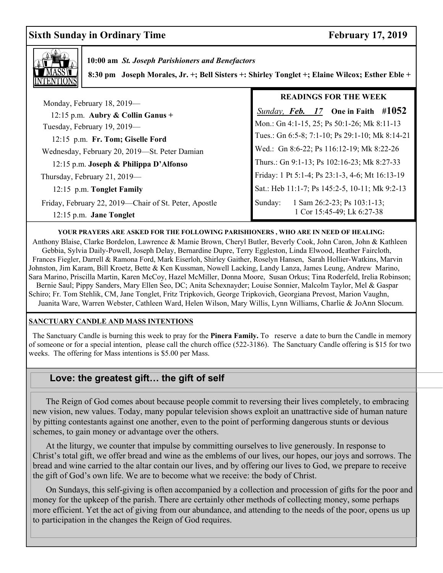# **Sixth Sunday in Ordinary Time February 17, 2019**



 **10:00 am** *St. Joseph Parishioners and Benefactors*

 **8:30 pm Joseph Morales, Jr. +; Bell Sisters +: Shirley Tonglet +; Elaine Wilcox; Esther Eble +**

|                                                                                    | <b>READINGS FOR THE WEEK</b>                                            |
|------------------------------------------------------------------------------------|-------------------------------------------------------------------------|
| Monday, February 18, 2019—<br>12:15 p.m. Aubry & Collin Ganus +                    | Sunday, Feb. $17$ One in Faith #1052                                    |
| Tuesday, February 19, 2019-                                                        | Mon.: Gn 4:1-15, 25; Ps 50:1-26; Mk 8:11-13                             |
| 12:15 p.m. Fr. Tom; Giselle Ford                                                   | Tues.: Gn 6:5-8; 7:1-10; Ps 29:1-10; Mk 8:14-21                         |
| Wednesday, February 20, 2019-St. Peter Damian                                      | Wed.: Gn 8:6-22; Ps 116:12-19; Mk 8:22-26                               |
| 12:15 p.m. Joseph & Philippa D'Alfonso                                             | Thurs.: Gn 9:1-13; Ps 102:16-23; Mk 8:27-33                             |
| Thursday, February 21, 2019—                                                       | Friday: 1 Pt 5:1-4; Ps 23:1-3, 4-6; Mt 16:13-19                         |
| 12:15 p.m. Tonglet Family                                                          | Sat.: Heb 11:1-7; Ps 145:2-5, 10-11; Mk 9:2-13                          |
| Friday, February 22, 2019—Chair of St. Peter, Apostle<br>$12:15$ p.m. Jane Tonglet | 1 Sam 26:2-23; Ps $103:1-13$ ;<br>Sunday:<br>1 Cor 15:45-49; Lk 6:27-38 |

#### **YOUR PRAYERS ARE ASKED FOR THE FOLLOWING PARISHIONERS , WHO ARE IN NEED OF HEALING:**

 Anthony Blaise, Clarke Bordelon, Lawrence & Mamie Brown, Cheryl Butler, Beverly Cook, John Caron, John & Kathleen Gebbia, Sylvia Daily-Powell, Joseph Delay, Bernardine Dupre, Terry Eggleston, Linda Elwood, Heather Faircloth, Frances Fiegler, Darrell & Ramona Ford, Mark Eiserloh, Shirley Gaither, Roselyn Hansen, Sarah Hollier-Watkins, Marvin Johnston, Jim Karam, Bill Kroetz, Bette & Ken Kussman, Nowell Lacking, Landy Lanza, James Leung, Andrew Marino, Sara Marino, Priscilla Martin, Karen McCoy, Hazel McMiller, Donna Moore, Susan Orkus; Tina Roderfeld, Irelia Robinson; Bernie Saul; Pippy Sanders, Mary Ellen Seo, DC; Anita Schexnayder; Louise Sonnier, Malcolm Taylor, Mel & Gaspar Schiro; Fr. Tom Stehlik, CM, Jane Tonglet, Fritz Tripkovich, George Tripkovich, Georgiana Prevost, Marion Vaughn, Juanita Ware, Warren Webster, Cathleen Ward, Helen Wilson, Mary Willis, Lynn Williams, Charlie & JoAnn Slocum.

#### **SANCTUARY CANDLE AND MASS INTENTIONS**

 The Sanctuary Candle is burning this week to pray for the **Pinera Family.** To reserve a date to burn the Candle in memory of someone or for a special intention, please call the church office (522-3186). The Sanctuary Candle offering is \$15 for two weeks. The offering for Mass intentions is \$5.00 per Mass.

### **Love: the greatest gift… the gift of self**

 The Reign of God comes about because people commit to reversing their lives completely, to embracing new vision, new values. Today, many popular television shows exploit an unattractive side of human nature by pitting contestants against one another, even to the point of performing dangerous stunts or devious schemes, to gain money or advantage over the others.

 At the liturgy, we counter that impulse by committing ourselves to live generously. In response to Christ's total gift, we offer bread and wine as the emblems of our lives, our hopes, our joys and sorrows. The bread and wine carried to the altar contain our lives, and by offering our lives to God, we prepare to receive the gift of God's own life. We are to become what we receive: the body of Christ.

 On Sundays, this self‑giving is often accompanied by a collection and procession of gifts for the poor and money for the upkeep of the parish. There are certainly other methods of collecting money, some perhaps more efficient. Yet the act of giving from our abundance, and attending to the needs of the poor, opens us up to participation in the changes the Reign of God requires.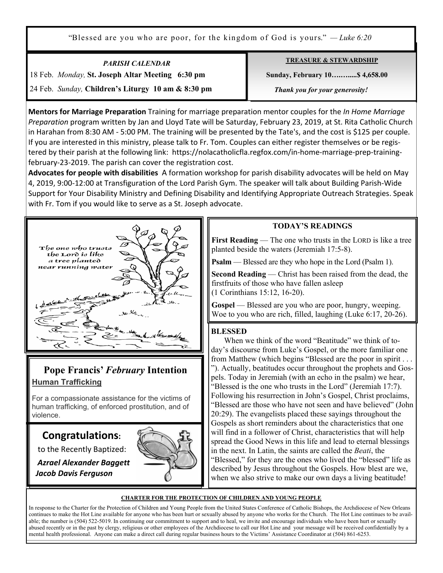"Blessed are you who are poor, for the kingdom of God is yours." *— Luke 6:20*

*PARISH CALENDAR*  18 Feb. *Monday,* **St. Joseph Altar Meeting 6:30 pm**  24 Feb. *Sunday,* **Children's Liturgy 10 am & 8:30 pm** **TREASURE & STEWARDSHIP**

 **Sunday, February 10….….....\$ 4,658.00** 

*Thank you for your generosity!* 

**Mentors for Marriage Preparation** Training for marriage preparation mentor couples for the *In Home Marriage Preparation* program written by Jan and Lloyd Tate will be Saturday, February 23, 2019, at St. Rita Catholic Church in Harahan from 8:30 AM - 5:00 PM. The training will be presented by the Tate's, and the cost is \$125 per couple. If you are interested in this ministry, please talk to Fr. Tom. Couples can either register themselves or be registered by their parish at the following link: https://nolacatholicfla.regfox.com/in-home-marriage-prep-trainingfebruary-23-2019. The parish can cover the registration cost.

**Advocates for people with disabilities** A formation workshop for parish disability advocates will be held on May 4, 2019, 9:00-12:00 at Transfiguration of the Lord Parish Gym. The speaker will talk about Building Parish-Wide Support for Your Disability Ministry and Defining Disability and Identifying Appropriate Outreach Strategies. Speak with Fr. Tom if you would like to serve as a St. Joseph advocate.



# **Pope Francis'** *February* **Intention Human Trafficking**

For a compassionate assistance for the victims of human trafficking, of enforced prostitution, and of violence.

# **Congratulations:**

to the Recently Baptized:



 *Azrael Alexander Baggett Jacob Davis Ferguson* 

**CHARTER FOR THE PROTECTION OF CHILDREN AND YOUNG PEOPLE**

In response to the Charter for the Protection of Children and Young People from the United States Conference of Catholic Bishops, the Archdiocese of New Orleans continues to make the Hot Line available for anyone who has been hurt or sexually abused by anyone who works for the Church. The Hot Line continues to be available; the number is (504) 522-5019. In continuing our commitment to support and to heal, we invite and encourage individuals who have been hurt or sexually abused recently or in the past by clergy, religious or other employees of the Archdiocese to call our Hot Line and your message will be received confidentially by a mental health professional. Anyone can make a direct call during regular business hours to the Victims' Assistance Coordinator at (504) 861-6253.

#### **TODAY'S READINGS**

**First Reading** — The one who trusts in the LORD is like a tree planted beside the waters (Jeremiah 17:5-8).

**Psalm** — Blessed are they who hope in the Lord (Psalm 1).

**Second Reading** — Christ has been raised from the dead, the firstfruits of those who have fallen asleep (1 Corinthians 15:12, 16-20).

**Gospel** — Blessed are you who are poor, hungry, weeping. Woe to you who are rich, filled, laughing (Luke 6:17, 20-26).

#### **BLESSED**

 When we think of the word "Beatitude" we think of today's discourse from Luke's Gospel, or the more familiar one from Matthew (which begins "Blessed are the poor in spirit . . . "). Actually, beatitudes occur throughout the prophets and Gospels. Today in Jeremiah (with an echo in the psalm) we hear, "Blessed is the one who trusts in the Lord" (Jeremiah 17:7). Following his resurrection in John's Gospel, Christ proclaims, "Blessed are those who have not seen and have believed" (John 20:29). The evangelists placed these sayings throughout the Gospels as short reminders about the characteristics that one will find in a follower of Christ, characteristics that will help spread the Good News in this life and lead to eternal blessings in the next. In Latin, the saints are called the *Beati*, the "Blessed," for they are the ones who lived the "blessed" life as described by Jesus throughout the Gospels. How blest are we, when we also strive to make our own days a living beatitude!